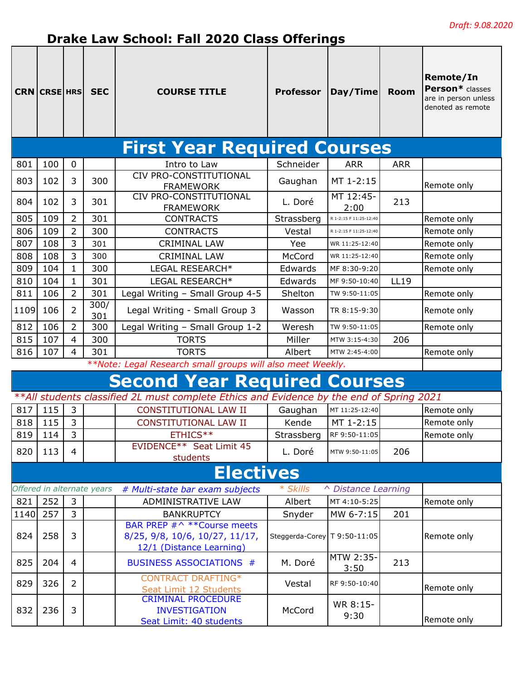## **Drake Law School: Fall 2020 Class Offerings**

|      | <b>CRN CRSE HRS</b> |                | <b>SEC</b>                 | <b>COURSE TITLE</b>                                                                       | <b>Professor</b>               | Day/Time               | <b>Room</b> | Remote/In<br>Person* classes<br>are in person unless<br>denoted as remote |
|------|---------------------|----------------|----------------------------|-------------------------------------------------------------------------------------------|--------------------------------|------------------------|-------------|---------------------------------------------------------------------------|
|      |                     |                |                            | <b>First Year Required Courses</b>                                                        |                                |                        |             |                                                                           |
| 801  | 100                 | $\mathbf 0$    |                            | Intro to Law                                                                              | Schneider                      | <b>ARR</b>             | <b>ARR</b>  |                                                                           |
| 803  | 102                 | 3              | 300                        | CIV PRO-CONSTITUTIONAL<br><b>FRAMEWORK</b>                                                | Gaughan                        | MT 1-2:15              |             | Remote only                                                               |
| 804  | 102                 | 3              | 301                        | CIV PRO-CONSTITUTIONAL<br><b>FRAMEWORK</b>                                                | L. Doré                        | MT 12:45-<br>2:00      | 213         |                                                                           |
| 805  | 109                 | 2              | 301                        | <b>CONTRACTS</b>                                                                          | Strassberg                     | R 1-2:15 F 11:25-12:40 |             | Remote only                                                               |
| 806  | 109                 | 2              | 300                        | <b>CONTRACTS</b>                                                                          | Vestal                         | R 1-2:15 F 11:25-12:40 |             | Remote only                                                               |
| 807  | 108                 | 3              | 301                        | <b>CRIMINAL LAW</b>                                                                       | Yee                            | WR 11:25-12:40         |             | Remote only                                                               |
| 808  | 108                 | 3              | 300                        | <b>CRIMINAL LAW</b>                                                                       | McCord                         | WR 11:25-12:40         |             | Remote only                                                               |
| 809  | 104                 | $\mathbf{1}$   | 300                        | LEGAL RESEARCH*                                                                           | Edwards                        | MF 8:30-9:20           |             | Remote only                                                               |
| 810  | 104                 | $\mathbf{1}$   | 301                        | LEGAL RESEARCH*                                                                           | Edwards                        | MF 9:50-10:40          | <b>LL19</b> |                                                                           |
| 811  | 106                 | $\overline{2}$ | 301                        | Legal Writing - Small Group 4-5                                                           | Shelton                        | TW 9:50-11:05          |             | Remote only                                                               |
| 1109 | 106                 | 2              | 300/<br>301                | Legal Writing - Small Group 3                                                             | Wasson                         | TR 8:15-9:30           |             | Remote only                                                               |
| 812  | 106                 | $\overline{2}$ | 300                        | Legal Writing - Small Group 1-2                                                           | Weresh                         | TW 9:50-11:05          |             | Remote only                                                               |
| 815  | 107                 | 4              | 300                        | <b>TORTS</b>                                                                              | Miller                         | MTW 3:15-4:30          | 206         |                                                                           |
| 816  | 107                 | $\overline{4}$ | 301                        | <b>TORTS</b>                                                                              | Albert                         | MTW 2:45-4:00          |             | Remote only                                                               |
|      |                     |                |                            | **Note: Legal Research small groups will also meet Weekly.                                |                                |                        |             |                                                                           |
|      |                     |                |                            | <b>Second Year Required Courses</b>                                                       |                                |                        |             |                                                                           |
|      |                     |                |                            | **All students classified 2L must complete Ethics and Evidence by the end of Spring 2021  |                                |                        |             |                                                                           |
| 817  | 115                 | 3              |                            | <b>CONSTITUTIONAL LAW II</b>                                                              | Gaughan                        | MT 11:25-12:40         |             | Remote only                                                               |
| 818  | 115                 | 3              |                            | <b>CONSTITUTIONAL LAW II</b>                                                              | Kende                          | MT 1-2:15              |             | Remote only                                                               |
| 819  | 114                 | $\overline{3}$ |                            | ETHICS**                                                                                  | Strassberg                     | RF 9:50-11:05          |             | Remote only                                                               |
| 820  | 113                 | 4              |                            | EVIDENCE <sup>**</sup> Seat Limit 45<br>students                                          | L. Doré                        | MTW 9:50-11:05         | 206         |                                                                           |
|      |                     |                |                            | <b>Electives</b>                                                                          |                                |                        |             |                                                                           |
|      |                     |                | Offered in alternate years | # Multi-state bar exam subjects                                                           | * Skills                       | △ Distance Learning    |             |                                                                           |
| 821  | 252                 | 3              |                            | ADMINISTRATIVE LAW                                                                        | Albert                         | MT 4:10-5:25           |             | Remote only                                                               |
| 1140 | 257                 | 3              |                            | <b>BANKRUPTCY</b>                                                                         | Snyder                         | MW 6-7:15              | 201         |                                                                           |
| 824  | 258                 | 3              |                            | BAR PREP #^ ** Course meets<br>8/25, 9/8, 10/6, 10/27, 11/17,<br>12/1 (Distance Learning) | Steggerda-Corey   T 9:50-11:05 |                        |             | Remote only                                                               |
| 825  | 204                 | $\overline{4}$ |                            | <b>BUSINESS ASSOCIATIONS #</b>                                                            | M. Doré                        | MTW 2:35-<br>3:50      | 213         |                                                                           |
| 829  | 326                 | 2              |                            | <b>CONTRACT DRAFTING*</b><br>Seat Limit 12 Students                                       | Vestal                         | RF 9:50-10:40          |             | Remote only                                                               |
| 832  | 236                 | 3              |                            | <b>CRIMINAL PROCEDURE</b><br><b>INVESTIGATION</b><br>Seat Limit: 40 students              | McCord                         | WR 8:15-<br>9:30       |             | Remote only                                                               |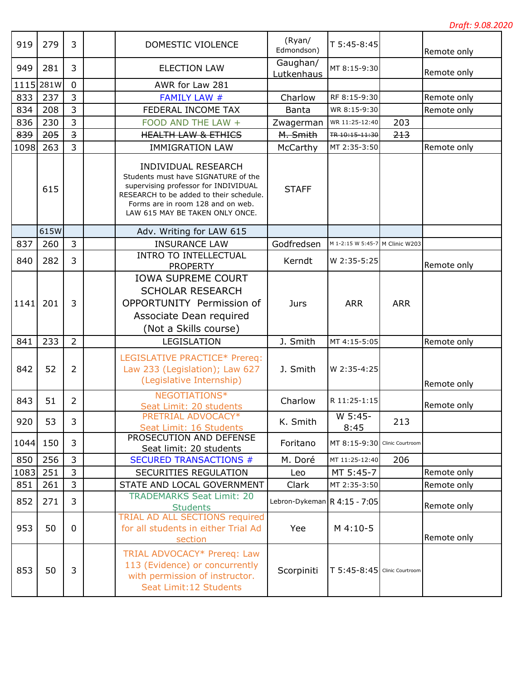| 919  | 279       | 3                       | DOMESTIC VIOLENCE                                                                                                                                                                                                     | (Ryan/<br>Edmondson)         | T 5:45-8:45                     |            | Remote only |
|------|-----------|-------------------------|-----------------------------------------------------------------------------------------------------------------------------------------------------------------------------------------------------------------------|------------------------------|---------------------------------|------------|-------------|
| 949  | 281       | 3                       | <b>ELECTION LAW</b>                                                                                                                                                                                                   | Gaughan/<br>Lutkenhaus       | MT 8:15-9:30                    |            | Remote only |
|      | 1115 281W | $\mathbf 0$             | AWR for Law 281                                                                                                                                                                                                       |                              |                                 |            |             |
| 833  | 237       | 3                       | <b>FAMILY LAW #</b>                                                                                                                                                                                                   | Charlow                      | RF 8:15-9:30                    |            | Remote only |
| 834  | 208       | 3                       | FEDERAL INCOME TAX                                                                                                                                                                                                    | Banta                        | WR 8:15-9:30                    |            | Remote only |
| 836  | 230       | 3                       | FOOD AND THE LAW +                                                                                                                                                                                                    | Zwagerman                    | WR 11:25-12:40                  | 203        |             |
| 839  | 205       | $\overline{\mathbf{3}}$ | <b>HEALTH LAW &amp; ETHICS</b>                                                                                                                                                                                        | M. Smith                     | TR-10:15-11:30                  | 213        |             |
| 1098 | 263       | 3                       | <b>IMMIGRATION LAW</b>                                                                                                                                                                                                | McCarthy                     | MT 2:35-3:50                    |            | Remote only |
|      | 615       |                         | INDIVIDUAL RESEARCH<br>Students must have SIGNATURE of the<br>supervising professor for INDIVIDUAL<br>RESEARCH to be added to their schedule.<br>Forms are in room 128 and on web.<br>LAW 615 MAY BE TAKEN ONLY ONCE. | <b>STAFF</b>                 |                                 |            |             |
|      | 615W      |                         | Adv. Writing for LAW 615                                                                                                                                                                                              |                              |                                 |            |             |
| 837  | 260       | 3                       | <b>INSURANCE LAW</b>                                                                                                                                                                                                  | Godfredsen                   | M 1-2:15 W 5:45-7 M Clinic W203 |            |             |
| 840  | 282       | 3                       | <b>INTRO TO INTELLECTUAL</b><br><b>PROPERTY</b>                                                                                                                                                                       | Kerndt                       | W 2:35-5:25                     |            | Remote only |
| 1141 | 201       | 3                       | <b>IOWA SUPREME COURT</b><br><b>SCHOLAR RESEARCH</b><br>OPPORTUNITY Permission of<br>Associate Dean required<br>(Not a Skills course)                                                                                 | Jurs                         | <b>ARR</b>                      | <b>ARR</b> |             |
| 841  | 233       | $\overline{2}$          | LEGISLATION                                                                                                                                                                                                           | J. Smith                     | MT 4:15-5:05                    |            | Remote only |
| 842  | 52        | $\overline{2}$          | LEGISLATIVE PRACTICE* Prereq:<br>Law 233 (Legislation); Law 627<br>(Legislative Internship)                                                                                                                           | J. Smith                     | W 2:35-4:25                     |            | Remote only |
| 843  | 51        | $\overline{2}$          | NEGOTIATIONS*<br>Seat Limit: 20 students                                                                                                                                                                              | Charlow                      | R 11:25-1:15                    |            | Remote only |
| 920  | 53        | 3                       | PRETRIAL ADVOCACY*<br>Seat Limit: 16 Students                                                                                                                                                                         | K. Smith                     | $W 5:45-$<br>8:45               | 213        |             |
| 1044 | 150       | 3                       | PROSECUTION AND DEFENSE<br>Seat limit: 20 students                                                                                                                                                                    | Foritano                     | MT 8:15-9:30 Clinic Courtroom   |            |             |
| 850  | 256       | 3                       | <b>SECURED TRANSACTIONS #</b>                                                                                                                                                                                         | M. Doré                      | MT 11:25-12:40                  | 206        |             |
| 1083 | 251       | 3                       | SECURITIES REGULATION                                                                                                                                                                                                 | Leo                          | MT 5:45-7                       |            | Remote only |
| 851  | 261       | 3                       | STATE AND LOCAL GOVERNMENT                                                                                                                                                                                            | Clark                        | MT 2:35-3:50                    |            | Remote only |
| 852  | 271       | 3                       | <b>TRADEMARKS Seat Limit: 20</b><br><b>Students</b>                                                                                                                                                                   | Lebron-Dykeman R 4:15 - 7:05 |                                 |            | Remote only |
| 953  | 50        | 0                       | <b>TRIAL AD ALL SECTIONS required</b><br>for all students in either Trial Ad<br>section                                                                                                                               | Yee                          | M 4:10-5                        |            | Remote only |
| 853  | 50        | 3                       | TRIAL ADVOCACY* Prereq: Law<br>113 (Evidence) or concurrently<br>with permission of instructor.<br>Seat Limit: 12 Students                                                                                            | Scorpiniti                   | T 5:45-8:45 Clinic Courtroom    |            |             |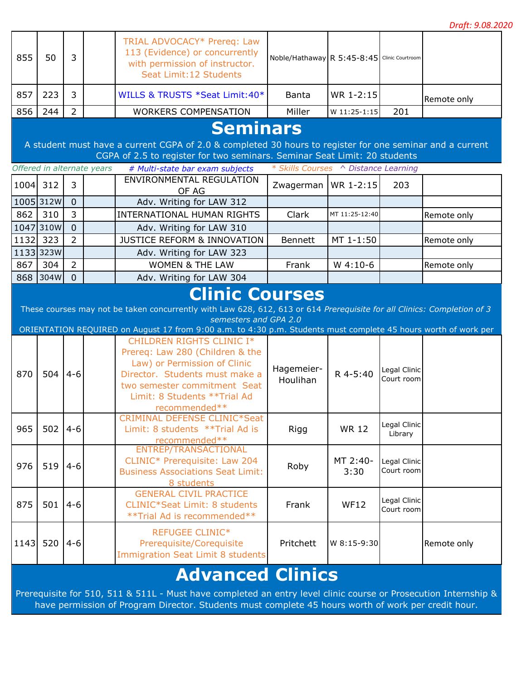|          |           |                |                            |                                                                                                                                                                                                                                                                     |                                             |                  |                            | p. aj t. p.oo.zo |
|----------|-----------|----------------|----------------------------|---------------------------------------------------------------------------------------------------------------------------------------------------------------------------------------------------------------------------------------------------------------------|---------------------------------------------|------------------|----------------------------|------------------|
| 855      | 50        | $\overline{3}$ |                            | TRIAL ADVOCACY* Prereq: Law<br>113 (Evidence) or concurrently<br>with permission of instructor.<br>Seat Limit: 12 Students                                                                                                                                          | Noble/Hathaway R 5:45-8:45 Clinic Courtroom |                  |                            |                  |
| 857      | 223       | 3              |                            | WILLS & TRUSTS *Seat Limit: 40*                                                                                                                                                                                                                                     | <b>Banta</b>                                | WR 1-2:15        |                            | Remote only      |
| 856      | 244       | $\overline{2}$ |                            | <b>WORKERS COMPENSATION</b>                                                                                                                                                                                                                                         | Miller                                      | W 11:25-1:15     | 201                        |                  |
|          |           |                | Offered in alternate years | <b>Seminars</b><br>A student must have a current CGPA of 2.0 & completed 30 hours to register for one seminar and a current<br>CGPA of 2.5 to register for two seminars. Seminar Seat Limit: 20 students<br># Multi-state bar exam subjects                         | * Skills Courses ^ Distance Learning        |                  |                            |                  |
| 1004 312 |           | 3              |                            | <b>ENVIRONMENTAL REGULATION</b>                                                                                                                                                                                                                                     | Zwagerman   WR 1-2:15                       |                  | 203                        |                  |
|          |           |                |                            | OF AG                                                                                                                                                                                                                                                               |                                             |                  |                            |                  |
|          | 1005 312W | $\overline{0}$ |                            | Adv. Writing for LAW 312                                                                                                                                                                                                                                            |                                             |                  |                            |                  |
| 862      | 310       | 3              |                            | <b>INTERNATIONAL HUMAN RIGHTS</b>                                                                                                                                                                                                                                   | Clark                                       | MT 11:25-12:40   |                            | Remote only      |
|          | 1047 310W | $\overline{0}$ |                            | Adv. Writing for LAW 310                                                                                                                                                                                                                                            |                                             |                  |                            |                  |
| 1132 323 |           | $\overline{2}$ |                            | <b>JUSTICE REFORM &amp; INNOVATION</b>                                                                                                                                                                                                                              | Bennett                                     | MT 1-1:50        |                            | Remote only      |
|          | 11333323W |                |                            | Adv. Writing for LAW 323                                                                                                                                                                                                                                            |                                             |                  |                            |                  |
| 867      | 304       | $\overline{2}$ |                            | <b>WOMEN &amp; THE LAW</b>                                                                                                                                                                                                                                          | Frank                                       | $W$ 4:10-6       |                            | Remote only      |
|          | 868 304W  | $\overline{0}$ |                            | Adv. Writing for LAW 304                                                                                                                                                                                                                                            |                                             |                  |                            |                  |
|          |           |                |                            | These courses may not be taken concurrently with Law 628, 612, 613 or 614 Prerequisite for all Clinics: Completion of 3<br>semesters and GPA 2.0<br>ORIENTATION REQUIRED on August 17 from 9:00 a.m. to 4:30 p.m. Students must complete 45 hours worth of work per |                                             |                  |                            |                  |
| 870      | 504       | $4 - 6$        |                            | CHILDREN RIGHTS CLINIC I*<br>Prereq: Law 280 (Children & the<br>Law) or Permission of Clinic<br>Director. Students must make a<br>two semester commitment Seat<br>Limit: 8 Students ** Trial Ad<br>recommended**                                                    | Hagemeier-<br>Houlihan                      | R 4-5:40         | Legal Clinic<br>Court room |                  |
| 965      | 502       | $4 - 6$        |                            | <b>CRIMINAL DEFENSE CLINIC*Seat</b><br>Limit: 8 students ** Trial Ad is<br>recommended**<br>ENTREP/TRANSACTIONAL                                                                                                                                                    | Rigg                                        | <b>WR 12</b>     | Legal Clinic<br>Library    |                  |
| 976      | 519       | $4-6$          |                            | CLINIC* Prerequisite: Law 204<br><b>Business Associations Seat Limit:</b><br>8 students                                                                                                                                                                             | Roby                                        | MT 2:40-<br>3:30 | Legal Clinic<br>Court room |                  |
| 875      | 501       | $4 - 6$        |                            | <b>GENERAL CIVIL PRACTICE</b><br><b>CLINIC*Seat Limit: 8 students</b><br>** Trial Ad is recommended**                                                                                                                                                               | Frank                                       | <b>WF12</b>      | Legal Clinic<br>Court room |                  |
| 1143     | 520       | $4 - 6$        |                            | <b>REFUGEE CLINIC*</b><br>Prerequisite/Corequisite<br><b>Immigration Seat Limit 8 students</b>                                                                                                                                                                      | Pritchett                                   | W 8:15-9:30      |                            | Remote only      |
|          |           |                |                            | <b>Advanced Clinics</b>                                                                                                                                                                                                                                             |                                             |                  |                            |                  |

Prerequisite for 510, 511 & 511L - Must have completed an entry level clinic course or Prosecution Internship & have permission of Program Director. Students must complete 45 hours worth of work per credit hour.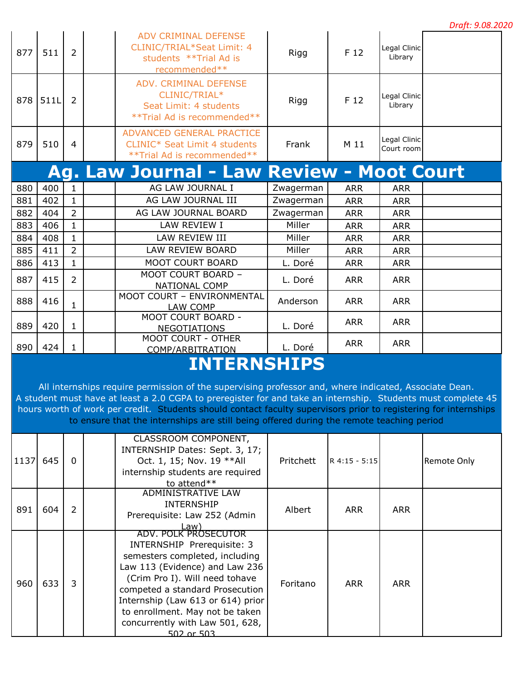| Draft: 9.08.2020 |  |  |  |
|------------------|--|--|--|
|------------------|--|--|--|

|     |      |                |                                                                                                                             |           |            |                            | Druji. 9.06.20 |
|-----|------|----------------|-----------------------------------------------------------------------------------------------------------------------------|-----------|------------|----------------------------|----------------|
| 877 | 511  | $\overline{2}$ | <b>ADV CRIMINAL DEFENSE</b><br>CLINIC/TRIAL*Seat Limit: 4<br>students **Trial Ad is<br>recommended**                        | Rigg      | F 12       | Legal Clinic<br>Library    |                |
| 878 | 511L | $\overline{2}$ | ADV. CRIMINAL DEFENSE<br>CLINIC/TRIAL*<br>Seat Limit: 4 students<br>**Trial Ad is recommended**                             | Rigg      | F 12       | Legal Clinic<br>Library    |                |
| 879 | 510  | 4              | ADVANCED GENERAL PRACTICE<br>CLINIC* Seat Limit 4 students<br>** Trial Ad is recommended**                                  | Frank     | M 11       | Legal Clinic<br>Court room |                |
|     |      |                | Ag. Law Journal - Law Review - Moot Court                                                                                   |           |            |                            |                |
| 880 | 400  | 1              | AG LAW JOURNAL I                                                                                                            | Zwagerman | <b>ARR</b> | <b>ARR</b>                 |                |
| 881 | 402  | $\mathbf{1}$   | AG LAW JOURNAL III                                                                                                          | Zwagerman | <b>ARR</b> | <b>ARR</b>                 |                |
| 882 | 404  | $\overline{2}$ | AG LAW JOURNAL BOARD                                                                                                        | Zwagerman | <b>ARR</b> | <b>ARR</b>                 |                |
| 883 | 406  | $\mathbf{1}$   | LAW REVIEW I                                                                                                                | Miller    | <b>ARR</b> | <b>ARR</b>                 |                |
| 884 | 408  | $\mathbf{1}$   | LAW REVIEW III                                                                                                              | Miller    | <b>ARR</b> | <b>ARR</b>                 |                |
| 885 | 411  | $\overline{2}$ | LAW REVIEW BOARD                                                                                                            | Miller    | <b>ARR</b> | <b>ARR</b>                 |                |
| 886 | 413  | $\mathbf{1}$   | MOOT COURT BOARD                                                                                                            | L. Doré   | <b>ARR</b> | <b>ARR</b>                 |                |
| 887 | 415  | $\overline{2}$ | MOOT COURT BOARD -<br>NATIONAL COMP                                                                                         | L. Doré   | <b>ARR</b> | <b>ARR</b>                 |                |
| 888 | 416  | $\mathbf{1}$   | MOOT COURT - ENVIRONMENTAL<br>LAW COMP                                                                                      | Anderson  | <b>ARR</b> | <b>ARR</b>                 |                |
| 889 | 420  | $\mathbf{1}$   | MOOT COURT BOARD -<br><b>NEGOTIATIONS</b>                                                                                   | L. Doré   | <b>ARR</b> | <b>ARR</b>                 |                |
| 890 | 424  | $\mathbf{1}$   | MOOT COURT - OTHER<br>COMP/ARBITRATION                                                                                      | L. Doré   | <b>ARR</b> | <b>ARR</b>                 |                |
|     |      |                | <b>INTERNSHIPS</b><br>All internships require permission of the supervising professor and, where indicated, Associate Dean. |           |            |                            |                |

A student must have at least a 2.0 CGPA to preregister for and take an internship. Students must complete 45 hours worth of work per credit. Students should contact faculty supervisors prior to registering for internships to ensure that the internships are still being offered during the remote teaching period

| 1137 | 645 | $\Omega$ | CLASSROOM COMPONENT,<br>INTERNSHIP Dates: Sept. 3, 17;<br>Oct. 1, 15; Nov. 19 ** All<br>internship students are required<br>to attend $**$                                                                                                                                                                                  | Pritchett | R 4:15 - 5:15 |            | Remote Only |
|------|-----|----------|-----------------------------------------------------------------------------------------------------------------------------------------------------------------------------------------------------------------------------------------------------------------------------------------------------------------------------|-----------|---------------|------------|-------------|
| 891  | 604 | 2        | ADMINISTRATIVE LAW<br><b>INTERNSHIP</b><br>Prerequisite: Law 252 (Admin<br>Law)                                                                                                                                                                                                                                             | Albert    | <b>ARR</b>    | <b>ARR</b> |             |
| 960  | 633 | 3        | ADV. POLK PROSECUTOR<br>INTERNSHIP Prerequisite: 3<br>semesters completed, including<br>Law 113 (Evidence) and Law 236<br>(Crim Pro I). Will need tohave<br>competed a standard Prosecution<br>Internship (Law 613 or 614) prior<br>to enrollment. May not be taken<br>concurrently with Law 501, 628,<br><u>502 or 503</u> | Foritano  | <b>ARR</b>    | <b>ARR</b> |             |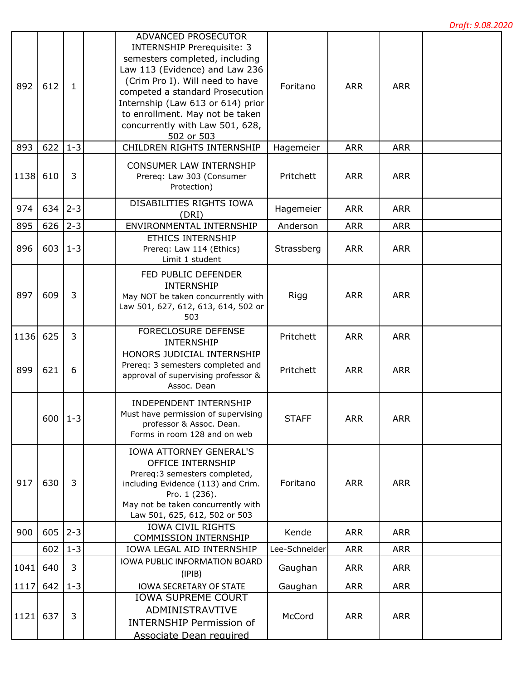| 892  | 612         | $\mathbf{1}$ | ADVANCED PROSECUTOR<br><b>INTERNSHIP Prerequisite: 3</b><br>semesters completed, including<br>Law 113 (Evidence) and Law 236<br>(Crim Pro I). Will need to have<br>competed a standard Prosecution<br>Internship (Law 613 or 614) prior<br>to enrollment. May not be taken<br>concurrently with Law 501, 628,<br>502 or 503 | Foritano      | <b>ARR</b> | <b>ARR</b> |  |
|------|-------------|--------------|-----------------------------------------------------------------------------------------------------------------------------------------------------------------------------------------------------------------------------------------------------------------------------------------------------------------------------|---------------|------------|------------|--|
| 893  | 622         | $1 - 3$      | CHILDREN RIGHTS INTERNSHIP                                                                                                                                                                                                                                                                                                  | Hagemeier     | <b>ARR</b> | <b>ARR</b> |  |
| 1138 | 610         | 3            | CONSUMER LAW INTERNSHIP<br>Prereq: Law 303 (Consumer<br>Protection)                                                                                                                                                                                                                                                         | Pritchett     | <b>ARR</b> | <b>ARR</b> |  |
| 974  | 634         | $2 - 3$      | DISABILITIES RIGHTS IOWA<br>(DRI)                                                                                                                                                                                                                                                                                           | Hagemeier     | <b>ARR</b> | <b>ARR</b> |  |
| 895  | 626         | $2 - 3$      | ENVIRONMENTAL INTERNSHIP                                                                                                                                                                                                                                                                                                    | Anderson      | <b>ARR</b> | <b>ARR</b> |  |
| 896  | 603         | $1 - 3$      | <b>ETHICS INTERNSHIP</b><br>Prereq: Law 114 (Ethics)<br>Limit 1 student                                                                                                                                                                                                                                                     | Strassberg    | <b>ARR</b> | <b>ARR</b> |  |
| 897  | 609         | 3            | FED PUBLIC DEFENDER<br><b>INTERNSHIP</b><br>May NOT be taken concurrently with<br>Law 501, 627, 612, 613, 614, 502 or<br>503                                                                                                                                                                                                | Rigg          | <b>ARR</b> | <b>ARR</b> |  |
| 1136 | 625         | 3            | <b>FORECLOSURE DEFENSE</b><br>INTERNSHIP                                                                                                                                                                                                                                                                                    | Pritchett     | <b>ARR</b> | <b>ARR</b> |  |
| 899  | 621         | 6            | HONORS JUDICIAL INTERNSHIP<br>Prereq: 3 semesters completed and<br>approval of supervising professor &<br>Assoc. Dean                                                                                                                                                                                                       | Pritchett     | <b>ARR</b> | <b>ARR</b> |  |
|      | $600$   1-3 |              | <b>INDEPENDENT INTERNSHIP</b><br>Must have permission of supervising<br>professor & Assoc. Dean.<br>Forms in room 128 and on web                                                                                                                                                                                            | <b>STAFF</b>  | <b>ARR</b> | <b>ARR</b> |  |
| 917  | 630         | 3            | <b>IOWA ATTORNEY GENERAL'S</b><br><b>OFFICE INTERNSHIP</b><br>Prereq: 3 semesters completed,<br>including Evidence (113) and Crim.<br>Pro. 1 (236).<br>May not be taken concurrently with<br>Law 501, 625, 612, 502 or 503                                                                                                  | Foritano      | <b>ARR</b> | <b>ARR</b> |  |
| 900  | 605         | $2 - 3$      | <b>IOWA CIVIL RIGHTS</b>                                                                                                                                                                                                                                                                                                    | Kende         | <b>ARR</b> | <b>ARR</b> |  |
|      | 602         | $1 - 3$      | <b>COMMISSION INTERNSHIP</b><br>IOWA LEGAL AID INTERNSHIP                                                                                                                                                                                                                                                                   | Lee-Schneider | <b>ARR</b> | <b>ARR</b> |  |
| 1041 | 640         | 3            | IOWA PUBLIC INFORMATION BOARD<br>(IPIB)                                                                                                                                                                                                                                                                                     | Gaughan       | <b>ARR</b> | <b>ARR</b> |  |
| 1117 | 642         | $1 - 3$      | <b>IOWA SECRETARY OF STATE</b>                                                                                                                                                                                                                                                                                              | Gaughan       | <b>ARR</b> | <b>ARR</b> |  |
| 1121 | 637         | 3            | <b>IOWA SUPREME COURT</b><br>ADMINISTRAVTIVE<br><b>INTERNSHIP Permission of</b><br><b>Associate Dean required</b>                                                                                                                                                                                                           | McCord        | <b>ARR</b> | <b>ARR</b> |  |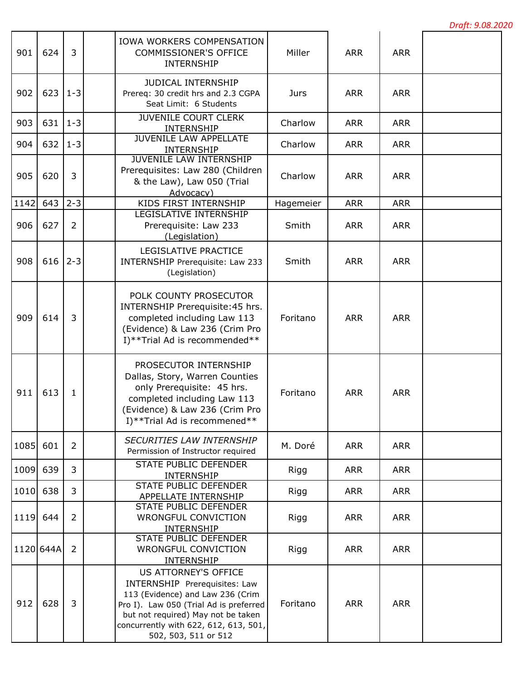| 901  | 624       | 3              | IOWA WORKERS COMPENSATION<br><b>COMMISSIONER'S OFFICE</b><br><b>INTERNSHIP</b>                                                                                                                                                                    | Miller    | <b>ARR</b> | <b>ARR</b> |  |
|------|-----------|----------------|---------------------------------------------------------------------------------------------------------------------------------------------------------------------------------------------------------------------------------------------------|-----------|------------|------------|--|
| 902  | 623       | $1 - 3$        | JUDICAL INTERNSHIP<br>Prereq: 30 credit hrs and 2.3 CGPA<br>Seat Limit: 6 Students                                                                                                                                                                | Jurs      | <b>ARR</b> | <b>ARR</b> |  |
| 903  | 631       | $1 - 3$        | <b>JUVENILE COURT CLERK</b><br>INTERNSHIP                                                                                                                                                                                                         | Charlow   | <b>ARR</b> | <b>ARR</b> |  |
| 904  | 632       | $1 - 3$        | <b>JUVENILE LAW APPELLATE</b><br><b>INTERNSHIP</b>                                                                                                                                                                                                | Charlow   | <b>ARR</b> | <b>ARR</b> |  |
| 905  | 620       | 3              | <b>JUVENILE LAW INTERNSHIP</b><br>Prerequisites: Law 280 (Children<br>& the Law), Law 050 (Trial<br>Advocacy)                                                                                                                                     | Charlow   | <b>ARR</b> | <b>ARR</b> |  |
| 1142 | 643       | $2 - 3$        | KIDS FIRST INTERNSHIP                                                                                                                                                                                                                             | Hagemeier | <b>ARR</b> | <b>ARR</b> |  |
| 906  | 627       | $\overline{2}$ | <b>LEGISLATIVE INTERNSHIP</b><br>Prerequisite: Law 233<br>(Legislation)                                                                                                                                                                           | Smith     | <b>ARR</b> | <b>ARR</b> |  |
| 908  | 616       | $2 - 3$        | LEGISLATIVE PRACTICE<br>INTERNSHIP Prerequisite: Law 233<br>(Legislation)                                                                                                                                                                         | Smith     | <b>ARR</b> | <b>ARR</b> |  |
| 909  | 614       | 3              | POLK COUNTY PROSECUTOR<br>INTERNSHIP Prerequisite: 45 hrs.<br>completed including Law 113<br>(Evidence) & Law 236 (Crim Pro<br>I)**Trial Ad is recommended**                                                                                      | Foritano  | <b>ARR</b> | <b>ARR</b> |  |
| 911  | 613       | $\mathbf 1$    | PROSECUTOR INTERNSHIP<br>Dallas, Story, Warren Counties<br>only Prerequisite: 45 hrs.<br>completed including Law 113<br>(Evidence) & Law 236 (Crim Pro<br>I)**Trial Ad is recommened**                                                            | Foritano  | <b>ARR</b> | <b>ARR</b> |  |
| 1085 | 601       | $\overline{2}$ | <b>SECURITIES LAW INTERNSHIP</b><br>Permission of Instructor required                                                                                                                                                                             | M. Doré   | <b>ARR</b> | <b>ARR</b> |  |
| 1009 | 639       | 3              | <b>STATE PUBLIC DEFENDER</b><br>INTERNSHIP                                                                                                                                                                                                        | Rigg      | <b>ARR</b> | <b>ARR</b> |  |
| 1010 | 638       | 3              | STATE PUBLIC DEFENDER<br>APPELLATE INTERNSHIP                                                                                                                                                                                                     | Rigg      | <b>ARR</b> | <b>ARR</b> |  |
| 1119 | 644       | $\overline{2}$ | STATE PUBLIC DEFENDER<br>WRONGFUL CONVICTION<br><b>INTERNSHIP</b>                                                                                                                                                                                 | Rigg      | <b>ARR</b> | <b>ARR</b> |  |
|      | 1120 644A | $\overline{2}$ | <b>STATE PUBLIC DEFENDER</b><br>WRONGFUL CONVICTION<br>INTERNSHIP                                                                                                                                                                                 | Rigg      | <b>ARR</b> | <b>ARR</b> |  |
| 912  | 628       | 3              | <b>US ATTORNEY'S OFFICE</b><br>INTERNSHIP Prerequisites: Law<br>113 (Evidence) and Law 236 (Crim<br>Pro I). Law 050 (Trial Ad is preferred<br>but not required) May not be taken<br>concurrently with 622, 612, 613, 501,<br>502, 503, 511 or 512 | Foritano  | <b>ARR</b> | <b>ARR</b> |  |